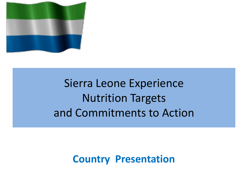

### Sierra Leone Experience Nutrition Targets and Commitments to Action

### **Country Presentation**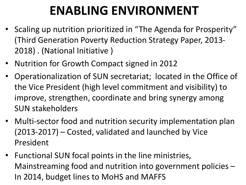## **ENABLING ENVIRONMENT**

- Scaling up nutrition prioritized in "The Agenda for Prosperity" (Third Generation Poverty Reduction Strategy Paper, 2013- 2018) . (National Initiative )
- Nutrition for Growth Compact signed in 2012
- Operationalization of SUN secretariat; located in the Office of the Vice President (high level commitment and visibility) to improve, strengthen, coordinate and bring synergy among SUN stakeholders
- Multi-sector food and nutrition security implementation plan (2013-2017) – Costed, validated and launched by Vice President
- Functional SUN focal points in the line ministries, Mainstreaming food and nutrition into government policies – In 2014, budget lines to MoHS and MAFFS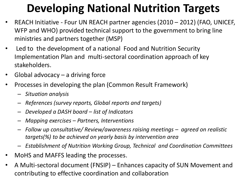### **Developing National Nutrition Targets**

- REACH Initiative Four UN REACH partner agencies (2010 2012) (FAO, UNICEF, WFP and WHO) provided technical support to the government to bring line ministries and partners together (MSP)
- Led to the development of a national Food and Nutrition Security Implementation Plan and multi-sectoral coordination approach of key stakeholders.
- Global advocacy  $-$  a driving force
- Processes in developing the plan (Common Result Framework)
	- *Situation analysis*
	- *References (survey reports, Global reports and targets)*
	- *Developed a DASH board – list of Indicators*
	- *Mapping exercises – Partners, Interventions*
	- *Follow up consultative/ Review/awareness raising meetings – agreed on realistic targets(%) to be achieved on yearly basis by intervention area*
	- *Establishment of Nutrition Working Group, Technical and Coordination Committees*
- MoHS and MAFFS leading the processes.
- A Multi-sectoral document (FNSIP) Enhances capacity of SUN Movement and contributing to effective coordination and collaboration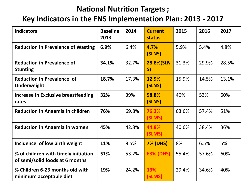#### **National Nutrition Targets ;**

#### **Key Indicators in the FNS Implementation Plan: 2013 - 2017**

| <b>Indicators</b>                                                       | <b>Baseline</b><br>2013 | 2014  | <b>Current</b><br>status | 2015  | 2016  | 2017  |
|-------------------------------------------------------------------------|-------------------------|-------|--------------------------|-------|-------|-------|
| <b>Reduction in Prevalence of Wasting</b>                               | 6.9%                    | 6.4%  | 4.7%<br>(SLNS)           | 5.9%  | 5.4%  | 4.8%  |
| <b>Reduction in Prevalence of</b><br><b>Stunting</b>                    | 34.1%                   | 32.7% | 28.8%(SLN<br>S)          | 31.3% | 29.9% | 28.5% |
| <b>Reduction in Prevalence of</b><br><b>Underweight</b>                 | 18.7%                   | 17.3% | 12.9%<br>(SLNS)          | 15.9% | 14.5% | 13.1% |
| Increase in Exclusive breastfeeding<br>rates                            | 32%                     | 39%   | 58.8%<br>(SLNS)          | 46%   | 53%   | 60%   |
| <b>Reduction in Anaemia in children</b>                                 | 76%                     | 69.8% | 76.3%<br>(SLMS)          | 63.6% | 57.4% | 51%   |
| <b>Reduction in Anaemia in women</b>                                    | 45%                     | 42.8% | 44.8%<br>(SLMS)          | 40.6% | 38.4% | 36%   |
| Incidence of low birth weight                                           | 11%                     | 9.5%  | <b>7% (DHS)</b>          | 8%    | 6.5%  | 5%    |
| % of children with timely initiation<br>of semi/solid foods at 6 months | 51%                     | 53.2% | 63% (DHS)                | 55.4% | 57.6% | 60%   |
| % Children 6-23 months old with<br>minimum acceptable diet              | 19%                     | 24.2% | 13%<br>(SLMS)            | 29.4% | 34.6% | 40%   |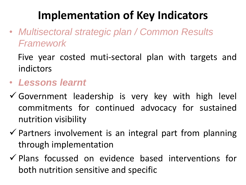### **Implementation of Key Indicators**

• *Multisectoral strategic plan / Common Results Framework* 

Five year costed muti-sectoral plan with targets and indictors

- *Lessons learnt*
- $\checkmark$  Government leadership is very key with high level commitments for continued advocacy for sustained nutrition visibility
- $\checkmark$  Partners involvement is an integral part from planning through implementation
- $\checkmark$  Plans focussed on evidence based interventions for both nutrition sensitive and specific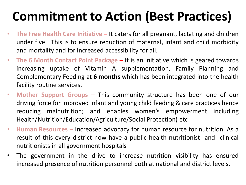## **Commitment to Action (Best Practices)**

- **The Free Health Care Initiative –** It caters for all pregnant, lactating and children under five. This is to ensure reduction of maternal, infant and child morbidity and mortality and for increased accessibility for all.
- **The 6 Month Contact Point Package –** It is an initiative which is geared towards increasing uptake of Vitamin A supplementation, Family Planning and Complementary Feeding at **6 months** which has been integrated into the health facility routine services.
- **Mother Support Groups –** This community structure has been one of our driving force for improved infant and young child feeding & care practices hence reducing malnutrition; and enables women's empowerment including Health/Nutrition/Education/Agriculture/Social Protection) etc
- **Human Resources –** Increased advocacy for human resource for nutrition. As a result of this every district now have a public health nutritionist and clinical nutritionists in all government hospitals
- The government in the drive to increase nutrition visibility has ensured increased presence of nutrition personnel both at national and district levels.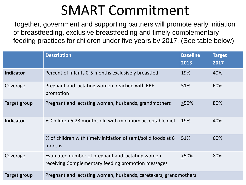## SMART Commitment

Together, government and supporting partners will promote early initiation of breastfeeding, exclusive breastfeeding and timely complementary feeding practices for children under five years by 2017. (See table below)

|                  | <b>Description</b>                                                                                     | <b>Baseline</b><br>2013 | <b>Target</b><br>2017 |  |  |
|------------------|--------------------------------------------------------------------------------------------------------|-------------------------|-----------------------|--|--|
| <b>Indicator</b> | Percent of Infants 0-5 months exclusively breastfed                                                    | 19%                     | 40%                   |  |  |
| Coverage         | Pregnant and lactating women reached with EBF<br>promotion                                             | 51%                     | 60%                   |  |  |
| Target group     | Pregnant and lactating women, husbands, grandmothers                                                   | >50%                    | 80%                   |  |  |
| <b>Indicator</b> | % Children 6-23 months old with minimum acceptable diet                                                | 19%                     | 40%                   |  |  |
|                  | % of children with timely initiation of semi/solid foods at 6<br>months                                | 51%                     | 60%                   |  |  |
| Coverage         | Estimated number of pregnant and lactating women<br>receiving Complementary feeding promotion messages | $>50\%$                 | 80%                   |  |  |
| Target group     | Pregnant and lactating women, husbands, caretakers, grandmothers                                       |                         |                       |  |  |